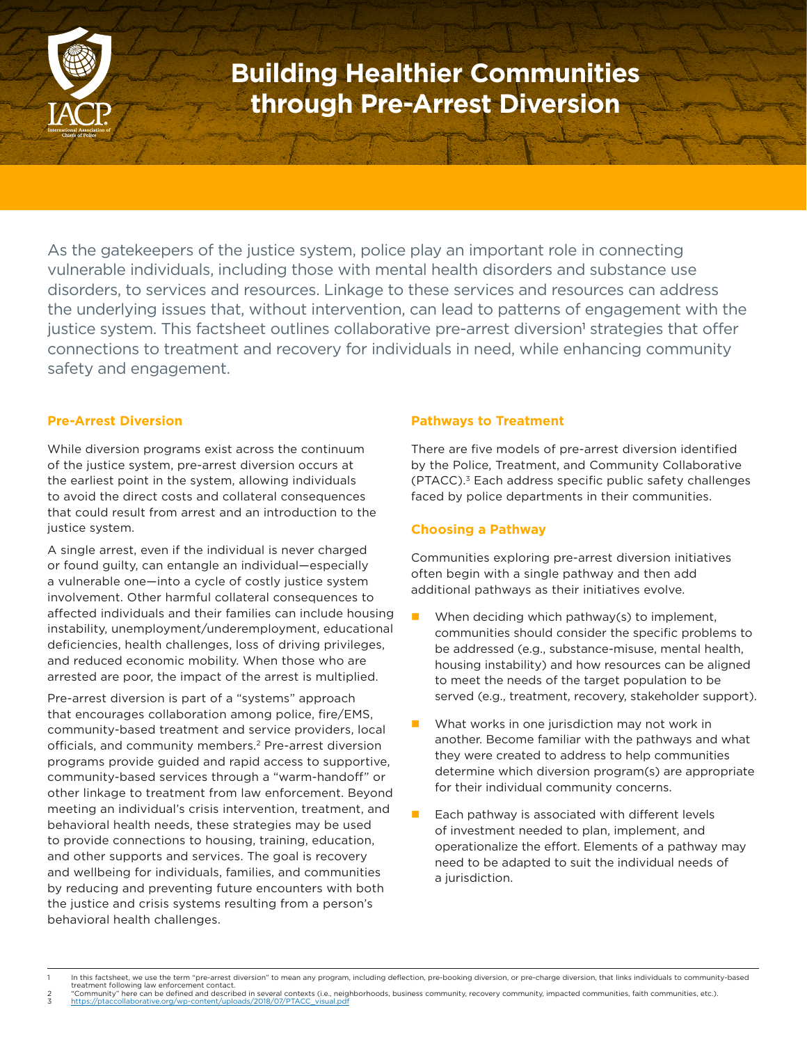

### **Building Healthier Communities through Pre-Arrest Diversion**

As the gatekeepers of the justice system, police play an important role in connecting vulnerable individuals, including those with mental health disorders and substance use disorders, to services and resources. Linkage to these services and resources can address the underlying issues that, without intervention, can lead to patterns of engagement with the justice system. This factsheet outlines collaborative pre-arrest diversion' strategies that offer connections to treatment and recovery for individuals in need, while enhancing community safety and engagement.

#### **Pre-Arrest Diversion**

While diversion programs exist across the continuum of the justice system, pre-arrest diversion occurs at the earliest point in the system, allowing individuals to avoid the direct costs and collateral consequences that could result from arrest and an introduction to the justice system.

A single arrest, even if the individual is never charged or found guilty, can entangle an individual—especially a vulnerable one—into a cycle of costly justice system involvement. Other harmful collateral consequences to affected individuals and their families can include housing instability, unemployment/underemployment, educational deficiencies, health challenges, loss of driving privileges, and reduced economic mobility. When those who are arrested are poor, the impact of the arrest is multiplied.

Pre-arrest diversion is part of a "systems" approach that encourages collaboration among police, fire/EMS, community-based treatment and service providers, local officials, and community members.2 Pre-arrest diversion programs provide guided and rapid access to supportive, community-based services through a "warm-handoff" or other linkage to treatment from law enforcement. Beyond meeting an individual's crisis intervention, treatment, and behavioral health needs, these strategies may be used to provide connections to housing, training, education, and other supports and services. The goal is recovery and wellbeing for individuals, families, and communities by reducing and preventing future encounters with both the justice and crisis systems resulting from a person's behavioral health challenges.

#### **Pathways to Treatment**

There are five models of pre-arrest diversion identified by the Police, Treatment, and Community Collaborative (PTACC).3 Each address specific public safety challenges faced by police departments in their communities.

#### **Choosing a Pathway**

Communities exploring pre-arrest diversion initiatives often begin with a single pathway and then add additional pathways as their initiatives evolve.

- $\blacksquare$  When deciding which pathway(s) to implement, communities should consider the specific problems to be addressed (e.g., substance-misuse, mental health, housing instability) and how resources can be aligned to meet the needs of the target population to be served (e.g., treatment, recovery, stakeholder support).
- What works in one jurisdiction may not work in another. Become familiar with the pathways and what they were created to address to help communities determine which diversion program(s) are appropriate for their individual community concerns.
- Each pathway is associated with different levels of investment needed to plan, implement, and operationalize the effort. Elements of a pathway may need to be adapted to suit the individual needs of a jurisdiction.

2 "Community" here can be defined and described in several contexts (i.e., neighborhoods, business community, recovery community, impacted communities, faith communities, etc.).<br>3 <u>https://ptaccollaborative.org/wp-cont</u>

In this factsheet, we use the term "pre-arrest diversion" to mean any program, including deflection, pre-booking diversion, or pre-charge diversion, that links individuals to community-based treatment following law enforcement contact.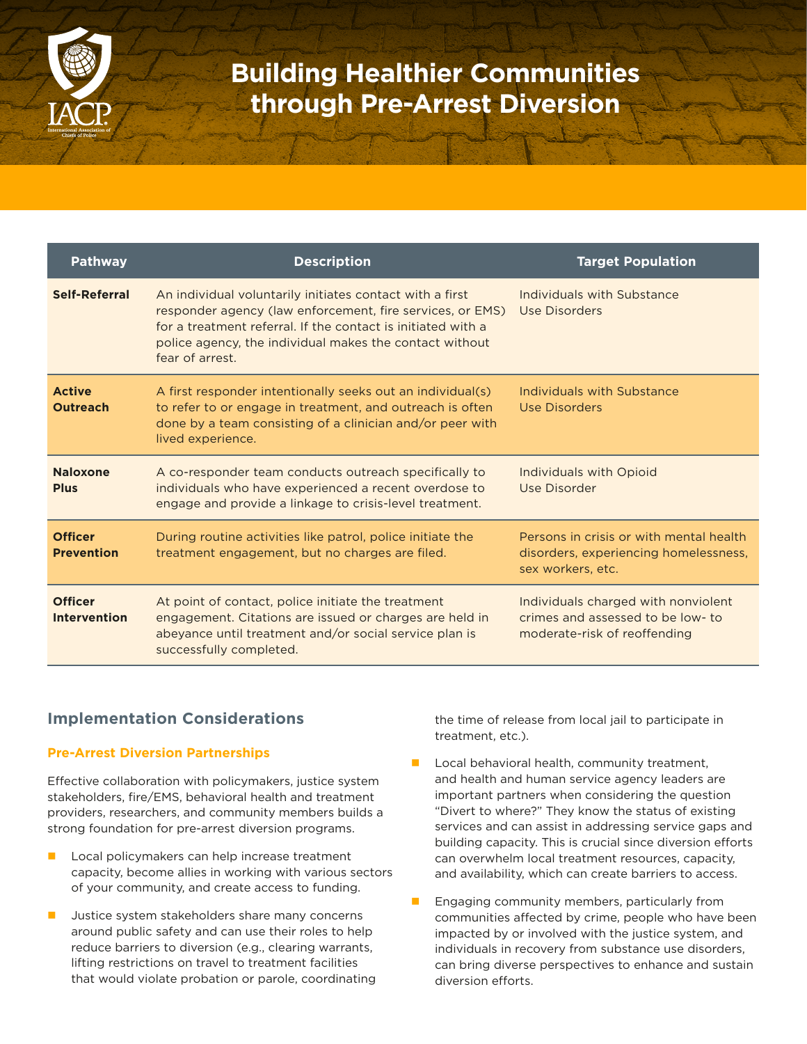

# **Building Healthier Communities through Pre-Arrest Diversion**

| <b>Pathway</b>                        | <b>Description</b>                                                                                                                                                                                                                                                  | <b>Target Population</b>                                                                                 |
|---------------------------------------|---------------------------------------------------------------------------------------------------------------------------------------------------------------------------------------------------------------------------------------------------------------------|----------------------------------------------------------------------------------------------------------|
| <b>Self-Referral</b>                  | An individual voluntarily initiates contact with a first<br>responder agency (law enforcement, fire services, or EMS)<br>for a treatment referral. If the contact is initiated with a<br>police agency, the individual makes the contact without<br>fear of arrest. | Individuals with Substance<br>Use Disorders                                                              |
| <b>Active</b><br><b>Outreach</b>      | A first responder intentionally seeks out an individual(s)<br>to refer to or engage in treatment, and outreach is often<br>done by a team consisting of a clinician and/or peer with<br>lived experience.                                                           | Individuals with Substance<br>Use Disorders                                                              |
| <b>Naloxone</b><br><b>Plus</b>        | A co-responder team conducts outreach specifically to<br>individuals who have experienced a recent overdose to<br>engage and provide a linkage to crisis-level treatment.                                                                                           | Individuals with Opioid<br>Use Disorder                                                                  |
| <b>Officer</b><br><b>Prevention</b>   | During routine activities like patrol, police initiate the<br>treatment engagement, but no charges are filed.                                                                                                                                                       | Persons in crisis or with mental health<br>disorders, experiencing homelessness,<br>sex workers, etc.    |
| <b>Officer</b><br><b>Intervention</b> | At point of contact, police initiate the treatment<br>engagement. Citations are issued or charges are held in<br>abeyance until treatment and/or social service plan is<br>successfully completed.                                                                  | Individuals charged with nonviolent<br>crimes and assessed to be low- to<br>moderate-risk of reoffending |

### **Implementation Considerations**

#### **Pre-Arrest Diversion Partnerships**

Effective collaboration with policymakers, justice system stakeholders, fire/EMS, behavioral health and treatment providers, researchers, and community members builds a strong foundation for pre-arrest diversion programs.

- Local policymakers can help increase treatment capacity, become allies in working with various sectors of your community, and create access to funding.
- Justice system stakeholders share many concerns around public safety and can use their roles to help reduce barriers to diversion (e.g., clearing warrants, lifting restrictions on travel to treatment facilities that would violate probation or parole, coordinating

the time of release from local jail to participate in treatment, etc.).

- $\blacksquare$  Local behavioral health, community treatment, and health and human service agency leaders are important partners when considering the question "Divert to where?" They know the status of existing services and can assist in addressing service gaps and building capacity. This is crucial since diversion efforts can overwhelm local treatment resources, capacity, and availability, which can create barriers to access.
- Engaging community members, particularly from communities affected by crime, people who have been impacted by or involved with the justice system, and individuals in recovery from substance use disorders, can bring diverse perspectives to enhance and sustain diversion efforts.